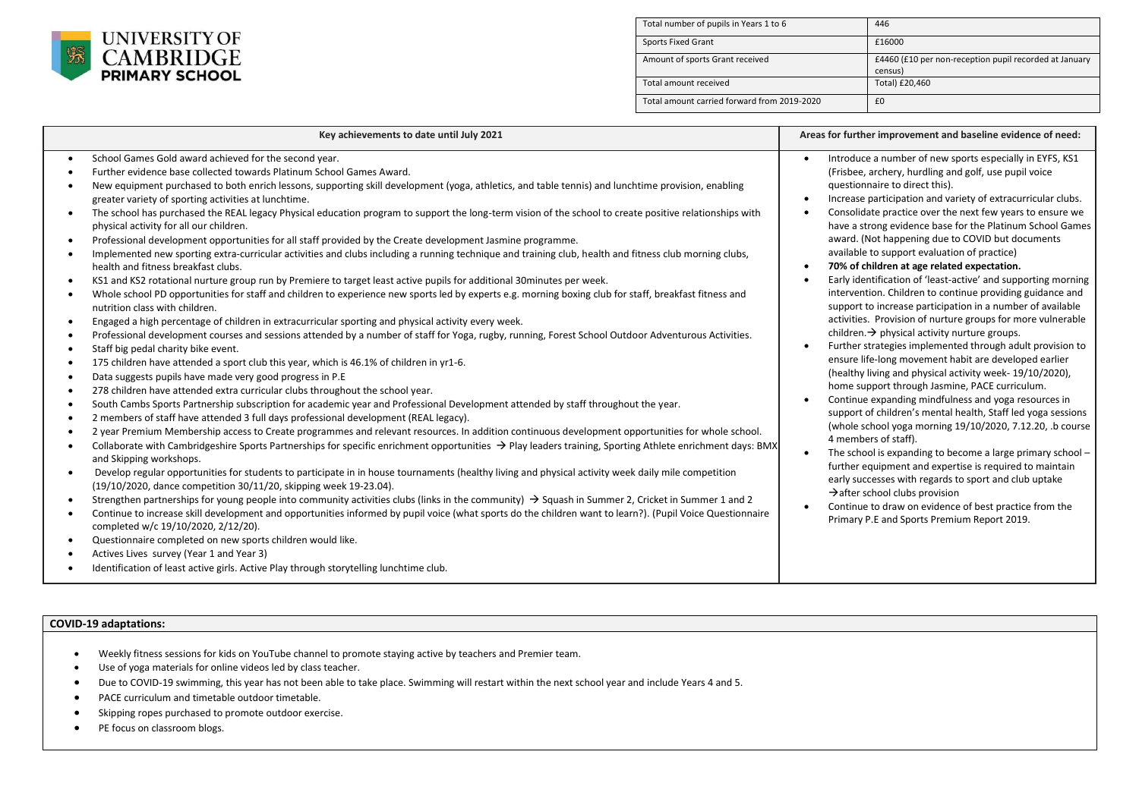

| Total number of pupils in Years 1 to 6      | 446                                                               |
|---------------------------------------------|-------------------------------------------------------------------|
| <b>Sports Fixed Grant</b>                   | £16000                                                            |
| Amount of sports Grant received             | £4460 (£10 per non-reception pupil recorded at January<br>census) |
| Total amount received                       | Total) £20,460                                                    |
| Total amount carried forward from 2019-2020 | £0                                                                |

| Key achievements to date until July 2021                                                                                                                                                                                                                                                                                                                                                                                                                                                                                                                                                                                                                                                                                                                                                                                                                                                                                                                                                                                                                                                                                                                                                                                                                                                                                                                                                                                                                                                                                                                                                                                                                                                                                                                                                                                                                                                                                                                                                                                                                                                                                                                                                                                                                                                                                                                                                                                                                                                                                                                                                                                                                                                                                                                                                                                                                                                                                                                                                                                                                                                                                                                                                                                                                                                              | Areas for further improvement and baseline evidence of need:                                                                                                                                                                                                                                                                                                                                                                                                                                                                                                                                                                                                                                                                                                                                                                                                                                                                                                                                                                                                                                                                                                                                                                                                                                                                                                                                                                                                                                                                                                                                                      |
|-------------------------------------------------------------------------------------------------------------------------------------------------------------------------------------------------------------------------------------------------------------------------------------------------------------------------------------------------------------------------------------------------------------------------------------------------------------------------------------------------------------------------------------------------------------------------------------------------------------------------------------------------------------------------------------------------------------------------------------------------------------------------------------------------------------------------------------------------------------------------------------------------------------------------------------------------------------------------------------------------------------------------------------------------------------------------------------------------------------------------------------------------------------------------------------------------------------------------------------------------------------------------------------------------------------------------------------------------------------------------------------------------------------------------------------------------------------------------------------------------------------------------------------------------------------------------------------------------------------------------------------------------------------------------------------------------------------------------------------------------------------------------------------------------------------------------------------------------------------------------------------------------------------------------------------------------------------------------------------------------------------------------------------------------------------------------------------------------------------------------------------------------------------------------------------------------------------------------------------------------------------------------------------------------------------------------------------------------------------------------------------------------------------------------------------------------------------------------------------------------------------------------------------------------------------------------------------------------------------------------------------------------------------------------------------------------------------------------------------------------------------------------------------------------------------------------------------------------------------------------------------------------------------------------------------------------------------------------------------------------------------------------------------------------------------------------------------------------------------------------------------------------------------------------------------------------------------------------------------------------------------------------------------------------------|-------------------------------------------------------------------------------------------------------------------------------------------------------------------------------------------------------------------------------------------------------------------------------------------------------------------------------------------------------------------------------------------------------------------------------------------------------------------------------------------------------------------------------------------------------------------------------------------------------------------------------------------------------------------------------------------------------------------------------------------------------------------------------------------------------------------------------------------------------------------------------------------------------------------------------------------------------------------------------------------------------------------------------------------------------------------------------------------------------------------------------------------------------------------------------------------------------------------------------------------------------------------------------------------------------------------------------------------------------------------------------------------------------------------------------------------------------------------------------------------------------------------------------------------------------------------------------------------------------------------|
| School Games Gold award achieved for the second year.<br>$\bullet$<br>Further evidence base collected towards Platinum School Games Award.<br>New equipment purchased to both enrich lessons, supporting skill development (yoga, athletics, and table tennis) and lunchtime provision, enabling<br>greater variety of sporting activities at lunchtime.<br>The school has purchased the REAL legacy Physical education program to support the long-term vision of the school to create positive relationships with<br>$\bullet$<br>physical activity for all our children.<br>Professional development opportunities for all staff provided by the Create development Jasmine programme.<br>Implemented new sporting extra-curricular activities and clubs including a running technique and training club, health and fitness club morning clubs,<br>health and fitness breakfast clubs.<br>KS1 and KS2 rotational nurture group run by Premiere to target least active pupils for additional 30minutes per week.<br>Whole school PD opportunities for staff and children to experience new sports led by experts e.g. morning boxing club for staff, breakfast fitness and<br>$\bullet$<br>nutrition class with children.<br>Engaged a high percentage of children in extracurricular sporting and physical activity every week.<br>$\bullet$<br>Professional development courses and sessions attended by a number of staff for Yoga, rugby, running, Forest School Outdoor Adventurous Activities.<br>$\bullet$<br>Staff big pedal charity bike event.<br>$\bullet$<br>175 children have attended a sport club this year, which is 46.1% of children in yr1-6.<br>$\bullet$<br>Data suggests pupils have made very good progress in P.E.<br>$\bullet$<br>278 children have attended extra curricular clubs throughout the school year.<br>$\bullet$<br>South Cambs Sports Partnership subscription for academic year and Professional Development attended by staff throughout the year.<br>$\bullet$<br>2 members of staff have attended 3 full days professional development (REAL legacy).<br>$\bullet$<br>2 year Premium Membership access to Create programmes and relevant resources. In addition continuous development opportunities for whole school.<br>Collaborate with Cambridgeshire Sports Partnerships for specific enrichment opportunities $\rightarrow$ Play leaders training, Sporting Athlete enrichment days: BMX<br>and Skipping workshops.<br>Develop regular opportunities for students to participate in in house tournaments (healthy living and physical activity week daily mile competition<br>$\bullet$<br>(19/10/2020, dance competition 30/11/20, skipping week 19-23.04).<br>Strengthen partnerships for young people into community activities clubs (links in the community) $\rightarrow$ Squash in Summer 2, Cricket in Summer 1 and 2<br>Continue to increase skill development and opportunities informed by pupil voice (what sports do the children want to learn?). (Pupil Voice Questionnaire<br>$\bullet$<br>completed w/c 19/10/2020, 2/12/20).<br>Questionnaire completed on new sports children would like.<br>Actives Lives survey (Year 1 and Year 3)<br>Identification of least active girls. Active Play through storytelling lunchtime club. | Introduce a number of new sports especially in EYFS, KS1<br>(Frisbee, archery, hurdling and golf, use pupil voice<br>questionnaire to direct this).<br>Increase participation and variety of extracurricular clubs.<br>Consolidate practice over the next few years to ensure we<br>have a strong evidence base for the Platinum School Games<br>award. (Not happening due to COVID but documents<br>available to support evaluation of practice)<br>70% of children at age related expectation.<br>Early identification of 'least-active' and supporting morning<br>intervention. Children to continue providing guidance and<br>support to increase participation in a number of available<br>activities. Provision of nurture groups for more vulnerable<br>children. $\rightarrow$ physical activity nurture groups.<br>Further strategies implemented through adult provision to<br>ensure life-long movement habit are developed earlier<br>(healthy living and physical activity week-19/10/2020),<br>home support through Jasmine, PACE curriculum.<br>Continue expanding mindfulness and yoga resources in<br>support of children's mental health, Staff led yoga sessions<br>(whole school yoga morning 19/10/2020, 7.12.20, .b course<br>4 members of staff).<br>The school is expanding to become a large primary school -<br>further equipment and expertise is required to maintain<br>early successes with regards to sport and club uptake<br>$\rightarrow$ after school clubs provision<br>Continue to draw on evidence of best practice from the<br>Primary P.E and Sports Premium Report 2019. |
|                                                                                                                                                                                                                                                                                                                                                                                                                                                                                                                                                                                                                                                                                                                                                                                                                                                                                                                                                                                                                                                                                                                                                                                                                                                                                                                                                                                                                                                                                                                                                                                                                                                                                                                                                                                                                                                                                                                                                                                                                                                                                                                                                                                                                                                                                                                                                                                                                                                                                                                                                                                                                                                                                                                                                                                                                                                                                                                                                                                                                                                                                                                                                                                                                                                                                                       |                                                                                                                                                                                                                                                                                                                                                                                                                                                                                                                                                                                                                                                                                                                                                                                                                                                                                                                                                                                                                                                                                                                                                                                                                                                                                                                                                                                                                                                                                                                                                                                                                   |

**COVID-19 adaptations:**

- Weekly fitness sessions for kids on YouTube channel to promote staying active by teachers and Premier team.
- Use of yoga materials for online videos led by class teacher.
- Due to COVID-19 swimming, this year has not been able to take place. Swimming will restart within the next school year and include Years 4 and 5.
- PACE curriculum and timetable outdoor timetable.
- Skipping ropes purchased to promote outdoor exercise.
- PE focus on classroom blogs.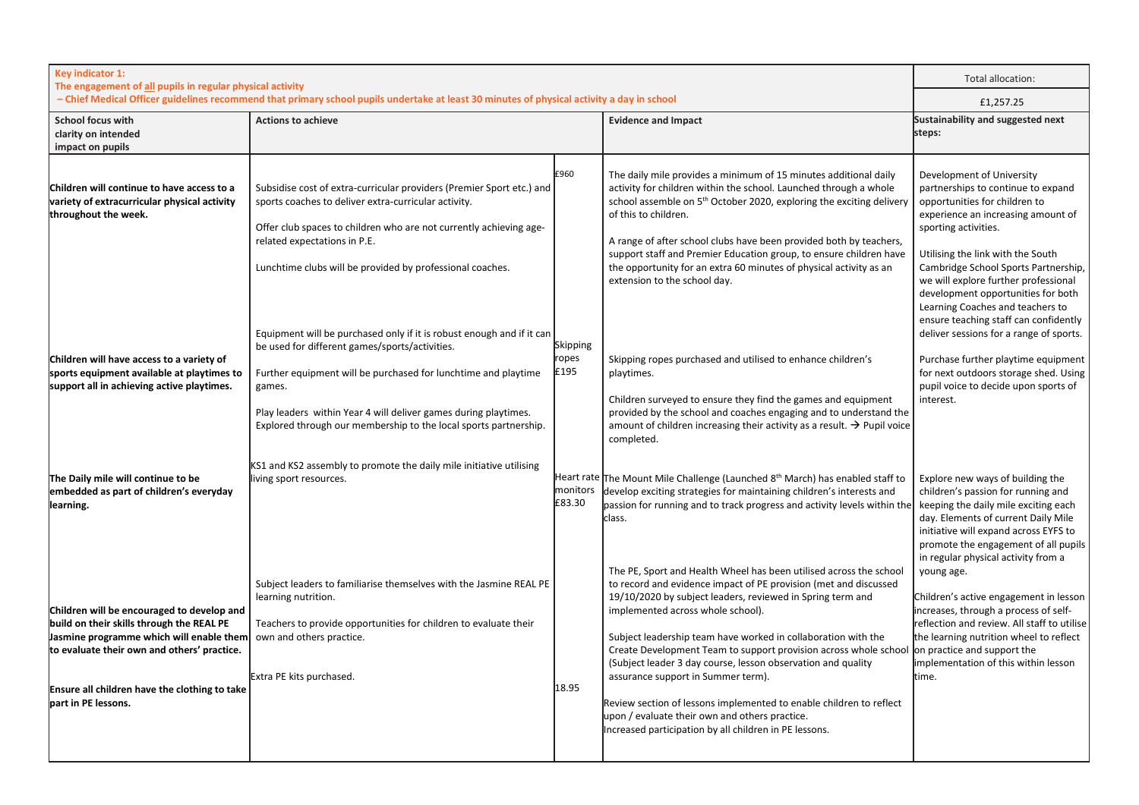| Key indicator 1:<br>The engagement of all pupils in regular physical activity                                                                                                                                                                                                                                                                            |                                                                                                                                                                                                                                                                                                                                                                                                                                                                                                                                                                                                                                                |                                   |                                                                                                                                                                                                                                                                                                                                                                                                                                                                                                                                                                                                                                                                                                                                                                                                                                                                          | Total allocation:                                                                                                                                                                                                                                                                                                                                                                                                                                                                                                                                                                      |
|----------------------------------------------------------------------------------------------------------------------------------------------------------------------------------------------------------------------------------------------------------------------------------------------------------------------------------------------------------|------------------------------------------------------------------------------------------------------------------------------------------------------------------------------------------------------------------------------------------------------------------------------------------------------------------------------------------------------------------------------------------------------------------------------------------------------------------------------------------------------------------------------------------------------------------------------------------------------------------------------------------------|-----------------------------------|--------------------------------------------------------------------------------------------------------------------------------------------------------------------------------------------------------------------------------------------------------------------------------------------------------------------------------------------------------------------------------------------------------------------------------------------------------------------------------------------------------------------------------------------------------------------------------------------------------------------------------------------------------------------------------------------------------------------------------------------------------------------------------------------------------------------------------------------------------------------------|----------------------------------------------------------------------------------------------------------------------------------------------------------------------------------------------------------------------------------------------------------------------------------------------------------------------------------------------------------------------------------------------------------------------------------------------------------------------------------------------------------------------------------------------------------------------------------------|
| - Chief Medical Officer guidelines recommend that primary school pupils undertake at least 30 minutes of physical activity a day in school                                                                                                                                                                                                               |                                                                                                                                                                                                                                                                                                                                                                                                                                                                                                                                                                                                                                                |                                   | £1,257.25                                                                                                                                                                                                                                                                                                                                                                                                                                                                                                                                                                                                                                                                                                                                                                                                                                                                |                                                                                                                                                                                                                                                                                                                                                                                                                                                                                                                                                                                        |
| <b>School focus with</b><br>clarity on intended<br>impact on pupils                                                                                                                                                                                                                                                                                      | <b>Actions to achieve</b>                                                                                                                                                                                                                                                                                                                                                                                                                                                                                                                                                                                                                      |                                   | <b>Evidence and Impact</b>                                                                                                                                                                                                                                                                                                                                                                                                                                                                                                                                                                                                                                                                                                                                                                                                                                               | Sustainability and suggested next<br>steps:                                                                                                                                                                                                                                                                                                                                                                                                                                                                                                                                            |
| Children will continue to have access to a<br>variety of extracurricular physical activity<br>throughout the week.<br>Children will have access to a variety of<br>sports equipment available at playtimes to<br>support all in achieving active playtimes.                                                                                              | Subsidise cost of extra-curricular providers (Premier Sport etc.) and<br>sports coaches to deliver extra-curricular activity.<br>Offer club spaces to children who are not currently achieving age-<br>related expectations in P.E.<br>Lunchtime clubs will be provided by professional coaches.<br>Equipment will be purchased only if it is robust enough and if it can<br>be used for different games/sports/activities.<br>Further equipment will be purchased for lunchtime and playtime<br>games.<br>Play leaders within Year 4 will deliver games during playtimes.<br>Explored through our membership to the local sports partnership. | £960<br>Skipping<br>ropes<br>£195 | The daily mile provides a minimum of 15 minutes additional daily<br>activity for children within the school. Launched through a whole<br>school assemble on 5 <sup>th</sup> October 2020, exploring the exciting delivery<br>of this to children.<br>A range of after school clubs have been provided both by teachers,<br>support staff and Premier Education group, to ensure children have<br>the opportunity for an extra 60 minutes of physical activity as an<br>extension to the school day.<br>Skipping ropes purchased and utilised to enhance children's<br>playtimes.<br>Children surveyed to ensure they find the games and equipment<br>provided by the school and coaches engaging and to understand the<br>amount of children increasing their activity as a result. $\rightarrow$ Pupil voice<br>completed.                                              | Development of University<br>partnerships to continue to expand<br>opportunities for children to<br>experience an increasing amount of<br>sporting activities.<br>Utilising the link with the South<br>Cambridge School Sports Partnership,<br>we will explore further professional<br>development opportunities for both<br>Learning Coaches and teachers to<br>ensure teaching staff can confidently<br>deliver sessions for a range of sports.<br>Purchase further playtime equipment<br>for next outdoors storage shed. Using<br>pupil voice to decide upon sports of<br>interest. |
| The Daily mile will continue to be<br>embedded as part of children's everyday<br>learning.<br>Children will be encouraged to develop and<br>build on their skills through the REAL PE<br>Jasmine programme which will enable them<br>to evaluate their own and others' practice.<br>Ensure all children have the clothing to take<br>part in PE lessons. | KS1 and KS2 assembly to promote the daily mile initiative utilising<br>living sport resources.<br>Subject leaders to familiarise themselves with the Jasmine REAL PE<br>learning nutrition.<br>Teachers to provide opportunities for children to evaluate their<br>own and others practice.<br>Extra PE kits purchased.                                                                                                                                                                                                                                                                                                                        | monitors<br>£83.30<br>18.95       | Heart rate The Mount Mile Challenge (Launched 8 <sup>th</sup> March) has enabled staff to<br>develop exciting strategies for maintaining children's interests and<br>passion for running and to track progress and activity levels within the<br>class.<br>The PE, Sport and Health Wheel has been utilised across the school<br>to record and evidence impact of PE provision (met and discussed<br>19/10/2020 by subject leaders, reviewed in Spring term and<br>implemented across whole school).<br>Subject leadership team have worked in collaboration with the<br>Create Development Team to support provision across whole school<br>(Subject leader 3 day course, lesson observation and quality<br>assurance support in Summer term).<br>Review section of lessons implemented to enable children to reflect<br>upon / evaluate their own and others practice. | Explore new ways of building the<br>children's passion for running and<br>keeping the daily mile exciting each<br>day. Elements of current Daily Mile<br>initiative will expand across EYFS to<br>promote the engagement of all pupils<br>in regular physical activity from a<br>young age.<br>Children's active engagement in lesson<br>increases, through a process of self-<br>reflection and review. All staff to utilise<br>the learning nutrition wheel to reflect<br>on practice and support the<br>implementation of this within lesson<br>time.                               |
|                                                                                                                                                                                                                                                                                                                                                          |                                                                                                                                                                                                                                                                                                                                                                                                                                                                                                                                                                                                                                                |                                   | Increased participation by all children in PE lessons.                                                                                                                                                                                                                                                                                                                                                                                                                                                                                                                                                                                                                                                                                                                                                                                                                   |                                                                                                                                                                                                                                                                                                                                                                                                                                                                                                                                                                                        |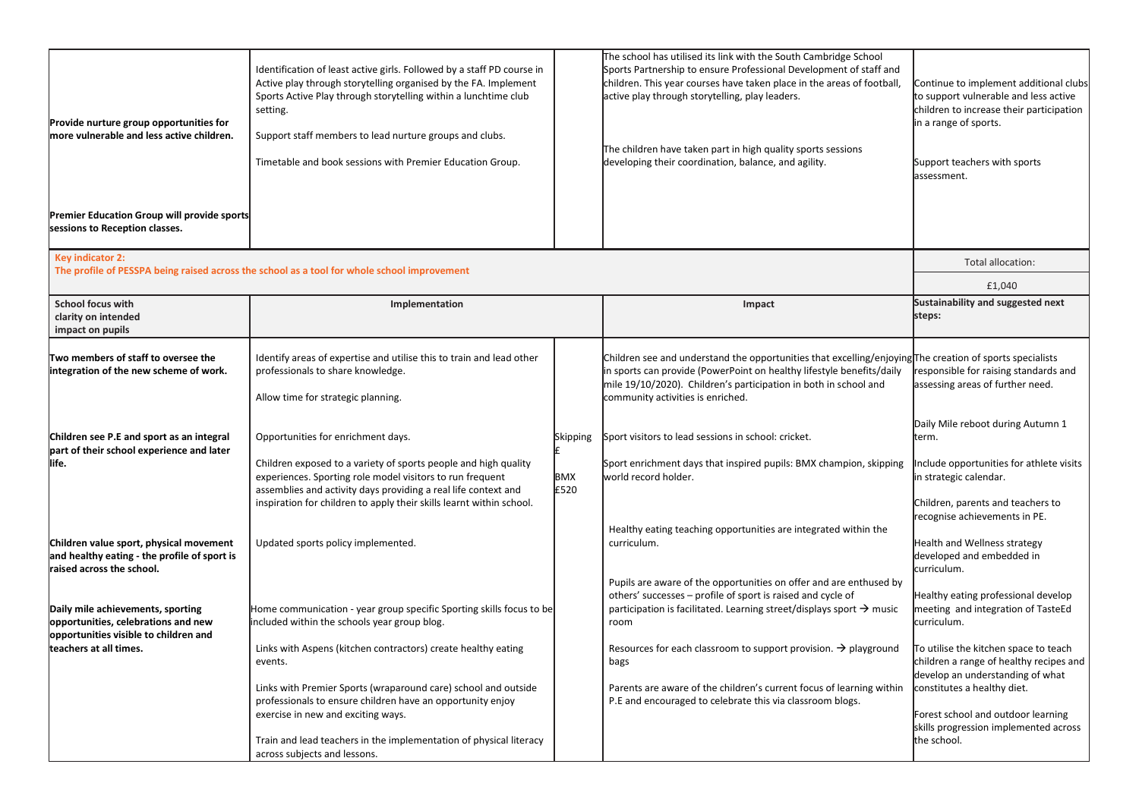| Identification of least active girls. Followed by a staff PD course in<br>Active play through storytelling organised by the FA. Implement<br>Sports Active Play through storytelling within a lunchtime club<br>setting.<br>Support staff members to lead nurture groups and clubs.<br>Timetable and book sessions with Premier Education Group. | Sports Partnership to ensure Professional Development of staff and<br>children. This year courses have taken place in the areas of football,<br>active play through storytelling, play leaders.<br>The children have taken part in high quality sports sessions<br>developing their coordination, balance, and agility. | Continue to implement additional clubs<br>to support vulnerable and less active<br>children to increase their participation<br>in a range of sports.<br>Support teachers with sports<br>assessment.                                               |
|--------------------------------------------------------------------------------------------------------------------------------------------------------------------------------------------------------------------------------------------------------------------------------------------------------------------------------------------------|-------------------------------------------------------------------------------------------------------------------------------------------------------------------------------------------------------------------------------------------------------------------------------------------------------------------------|---------------------------------------------------------------------------------------------------------------------------------------------------------------------------------------------------------------------------------------------------|
|                                                                                                                                                                                                                                                                                                                                                  |                                                                                                                                                                                                                                                                                                                         |                                                                                                                                                                                                                                                   |
|                                                                                                                                                                                                                                                                                                                                                  |                                                                                                                                                                                                                                                                                                                         |                                                                                                                                                                                                                                                   |
| The profile of PESSPA being raised across the school as a tool for whole school improvement                                                                                                                                                                                                                                                      |                                                                                                                                                                                                                                                                                                                         | Total allocation:                                                                                                                                                                                                                                 |
|                                                                                                                                                                                                                                                                                                                                                  |                                                                                                                                                                                                                                                                                                                         | £1,040                                                                                                                                                                                                                                            |
| Implementation                                                                                                                                                                                                                                                                                                                                   | Impact                                                                                                                                                                                                                                                                                                                  | Sustainability and suggested next<br>steps:                                                                                                                                                                                                       |
| Identify areas of expertise and utilise this to train and lead other<br>professionals to share knowledge.<br>Allow time for strategic planning.                                                                                                                                                                                                  | Children see and understand the opportunities that excelling/enjoying The creation of sports specialists<br>in sports can provide (PowerPoint on healthy lifestyle benefits/daily<br>mile 19/10/2020). Children's participation in both in school and<br>community activities is enriched.                              | responsible for raising standards and<br>assessing areas of further need.                                                                                                                                                                         |
| Opportunities for enrichment days.<br>Children exposed to a variety of sports people and high quality<br>experiences. Sporting role model visitors to run frequent<br>assemblies and activity days providing a real life context and                                                                                                             | world record holder.                                                                                                                                                                                                                                                                                                    | Daily Mile reboot during Autumn 1<br>term.<br>Include opportunities for athlete visits<br>in strategic calendar.                                                                                                                                  |
| inspiration for children to apply their skills learnt within school.<br>Updated sports policy implemented.                                                                                                                                                                                                                                       | Healthy eating teaching opportunities are integrated within the<br>curriculum.                                                                                                                                                                                                                                          | Children, parents and teachers to<br>recognise achievements in PE.<br>Health and Wellness strategy<br>developed and embedded in<br>curriculum.                                                                                                    |
| Home communication - year group specific Sporting skills focus to be<br>included within the schools year group blog.                                                                                                                                                                                                                             | Pupils are aware of the opportunities on offer and are enthused by<br>others' successes - profile of sport is raised and cycle of<br>participation is facilitated. Learning street/displays sport $\rightarrow$ music<br>room                                                                                           | Healthy eating professional develop<br>meeting and integration of TasteEd<br>curriculum.                                                                                                                                                          |
| Links with Aspens (kitchen contractors) create healthy eating<br>events.<br>Links with Premier Sports (wraparound care) school and outside<br>professionals to ensure children have an opportunity enjoy<br>exercise in new and exciting ways.<br>Train and lead teachers in the implementation of physical literacy                             | bags<br>Parents are aware of the children's current focus of learning within<br>P.E and encouraged to celebrate this via classroom blogs.                                                                                                                                                                               | To utilise the kitchen space to teach<br>children a range of healthy recipes and<br>develop an understanding of what<br>constitutes a healthy diet.<br>Forest school and outdoor learning<br>skills progression implemented across<br>the school. |
|                                                                                                                                                                                                                                                                                                                                                  | Skipping<br>BMX<br>£520                                                                                                                                                                                                                                                                                                 | Sport visitors to lead sessions in school: cricket.<br>Sport enrichment days that inspired pupils: BMX champion, skipping<br>Resources for each classroom to support provision. $\rightarrow$ playground<br>across subjects and lessons.          |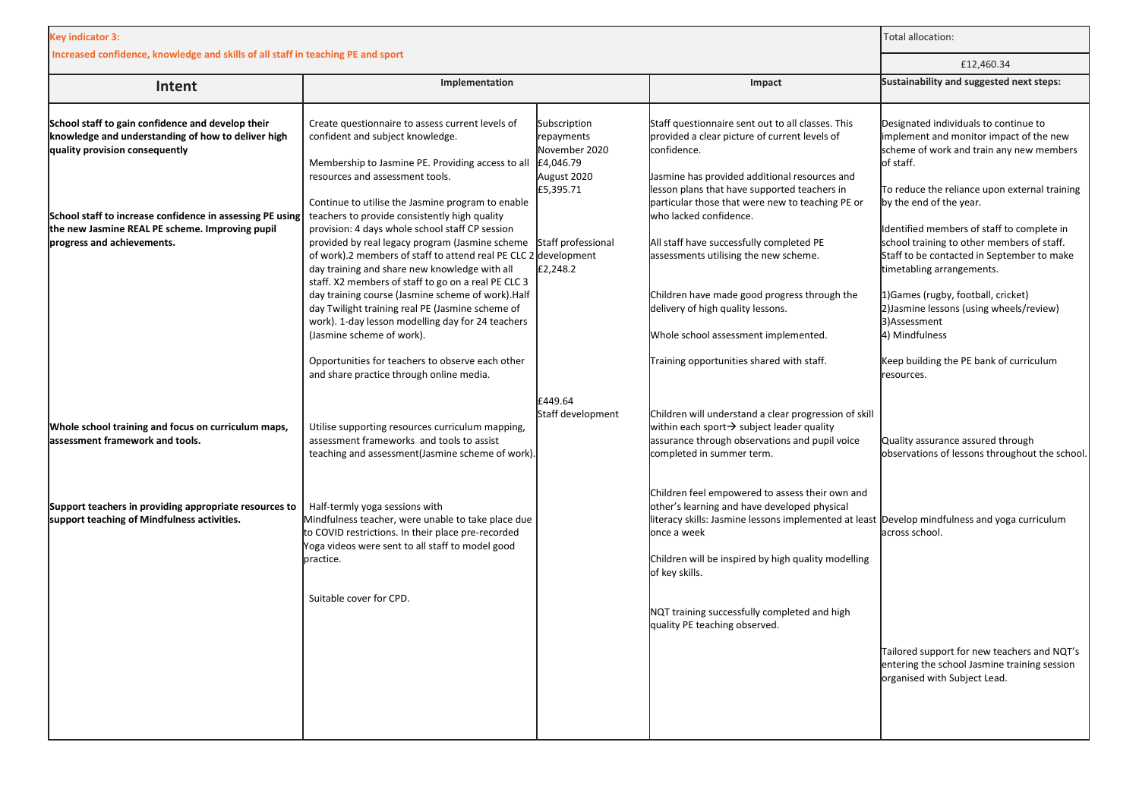| <b>Key indicator 3:</b>                                                                                                                                                                                                                                   | Total allocation:                                                                                                                                                                                                                                                                                                                                                                                                                                                                                                      |                                                                                      |                                                                                                                                                                                                                                                                                                  |                                                                                                                                                                                                                                                                                                     |
|-----------------------------------------------------------------------------------------------------------------------------------------------------------------------------------------------------------------------------------------------------------|------------------------------------------------------------------------------------------------------------------------------------------------------------------------------------------------------------------------------------------------------------------------------------------------------------------------------------------------------------------------------------------------------------------------------------------------------------------------------------------------------------------------|--------------------------------------------------------------------------------------|--------------------------------------------------------------------------------------------------------------------------------------------------------------------------------------------------------------------------------------------------------------------------------------------------|-----------------------------------------------------------------------------------------------------------------------------------------------------------------------------------------------------------------------------------------------------------------------------------------------------|
| Increased confidence, knowledge and skills of all staff in teaching PE and sport                                                                                                                                                                          | £12,460.34                                                                                                                                                                                                                                                                                                                                                                                                                                                                                                             |                                                                                      |                                                                                                                                                                                                                                                                                                  |                                                                                                                                                                                                                                                                                                     |
| Intent                                                                                                                                                                                                                                                    | Implementation                                                                                                                                                                                                                                                                                                                                                                                                                                                                                                         |                                                                                      | Impact                                                                                                                                                                                                                                                                                           | Sustainability and suggested next steps:                                                                                                                                                                                                                                                            |
| School staff to gain confidence and develop their<br>knowledge and understanding of how to deliver high<br>quality provision consequently<br>School staff to increase confidence in assessing PE using<br>the new Jasmine REAL PE scheme. Improving pupil | Create questionnaire to assess current levels of<br>confident and subject knowledge.<br>Membership to Jasmine PE. Providing access to all<br>resources and assessment tools.<br>Continue to utilise the Jasmine program to enable<br>teachers to provide consistently high quality<br>provision: 4 days whole school staff CP session                                                                                                                                                                                  | Subscription<br>repayments<br>November 2020<br>£4,046.79<br>August 2020<br>£5,395.71 | Staff questionnaire sent out to all classes. This<br>provided a clear picture of current levels of<br>confidence.<br>Jasmine has provided additional resources and<br>lesson plans that have supported teachers in<br>particular those that were new to teaching PE or<br>who lacked confidence. | Designated individuals to continue to<br>implement and monitor impact of the new<br>scheme of work and train any new members<br>of staff.<br>To reduce the reliance upon external training<br>by the end of the year.<br>Identified members of staff to complete in                                 |
| progress and achievements.                                                                                                                                                                                                                                | provided by real legacy program (Jasmine scheme<br>of work).2 members of staff to attend real PE CLC 2 development<br>day training and share new knowledge with all<br>staff. X2 members of staff to go on a real PE CLC 3<br>day training course (Jasmine scheme of work). Half<br>day Twilight training real PE (Jasmine scheme of<br>work). 1-day lesson modelling day for 24 teachers<br>(Jasmine scheme of work).<br>Opportunities for teachers to observe each other<br>and share practice through online media. | Staff professional<br>£2,248.2                                                       | All staff have successfully completed PE<br>assessments utilising the new scheme.<br>Children have made good progress through the<br>delivery of high quality lessons.<br>Whole school assessment implemented.<br>Training opportunities shared with staff.                                      | school training to other members of staff.<br>Staff to be contacted in September to make<br>timetabling arrangements.<br>1) Games (rugby, football, cricket)<br>2) Jasmine lessons (using wheels/review)<br>3)Assessment<br>4) Mindfulness<br>Keep building the PE bank of curriculum<br>resources. |
| Whole school training and focus on curriculum maps,<br>assessment framework and tools.                                                                                                                                                                    | Utilise supporting resources curriculum mapping,<br>assessment frameworks and tools to assist<br>teaching and assessment(Jasmine scheme of work).                                                                                                                                                                                                                                                                                                                                                                      | £449.64<br>Staff development                                                         | Children will understand a clear progression of skill<br>within each sport $\rightarrow$ subject leader quality<br>assurance through observations and pupil voice<br>completed in summer term.                                                                                                   | Quality assurance assured through<br>observations of lessons throughout the school.                                                                                                                                                                                                                 |
| Support teachers in providing appropriate resources to<br>support teaching of Mindfulness activities.                                                                                                                                                     | Half-termly yoga sessions with<br>Mindfulness teacher, were unable to take place due<br>to COVID restrictions. In their place pre-recorded<br>Yoga videos were sent to all staff to model good<br>practice.                                                                                                                                                                                                                                                                                                            |                                                                                      | Children feel empowered to assess their own and<br>other's learning and have developed physical<br>literacy skills: Jasmine lessons implemented at least Develop mindfulness and yoga curriculum<br>once a week<br>Children will be inspired by high quality modelling<br>of key skills.         | across school.                                                                                                                                                                                                                                                                                      |
|                                                                                                                                                                                                                                                           | Suitable cover for CPD.                                                                                                                                                                                                                                                                                                                                                                                                                                                                                                |                                                                                      | NQT training successfully completed and high<br>quality PE teaching observed.                                                                                                                                                                                                                    | Tailored support for new teachers and NQT's<br>entering the school Jasmine training session<br>organised with Subject Lead.                                                                                                                                                                         |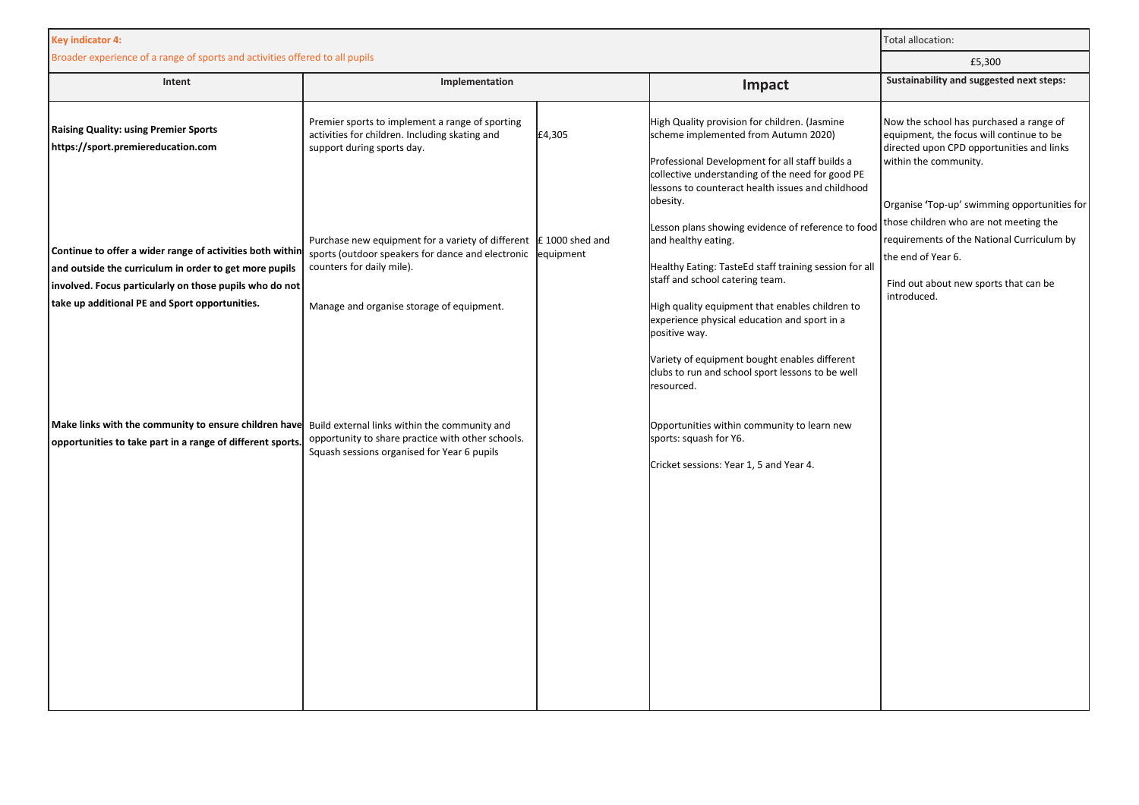| <b>Key indicator 4:</b>                                                                                                                                                        | Total allocation:                                                                                                                                              |           |                                                                                                                                                                                                                                                               |                                                                                                                                                                                                           |
|--------------------------------------------------------------------------------------------------------------------------------------------------------------------------------|----------------------------------------------------------------------------------------------------------------------------------------------------------------|-----------|---------------------------------------------------------------------------------------------------------------------------------------------------------------------------------------------------------------------------------------------------------------|-----------------------------------------------------------------------------------------------------------------------------------------------------------------------------------------------------------|
| Broader experience of a range of sports and activities offered to all pupils                                                                                                   |                                                                                                                                                                |           | £5,300                                                                                                                                                                                                                                                        |                                                                                                                                                                                                           |
| Intent                                                                                                                                                                         | Implementation                                                                                                                                                 |           | Impact                                                                                                                                                                                                                                                        | Sustainability and suggested next steps:                                                                                                                                                                  |
| <b>Raising Quality: using Premier Sports</b><br>https://sport.premiereducation.com                                                                                             | Premier sports to implement a range of sporting<br>activities for children. Including skating and<br>support during sports day.                                | £4,305    | High Quality provision for children. (Jasmine<br>scheme implemented from Autumn 2020)<br>Professional Development for all staff builds a<br>collective understanding of the need for good PE<br>lessons to counteract health issues and childhood<br>obesity. | Now the school has purchased a range of<br>equipment, the focus will continue to be<br>directed upon CPD opportunities and links<br>within the community.<br>Organise 'Top-up' swimming opportunities for |
| Continue to offer a wider range of activities both within<br>and outside the curriculum in order to get more pupils<br>involved. Focus particularly on those pupils who do not | Purchase new equipment for a variety of different $\mathbf{f}$ 1000 shed and<br>sports (outdoor speakers for dance and electronic<br>counters for daily mile). | equipment | Lesson plans showing evidence of reference to food<br>and healthy eating.<br>Healthy Eating: TasteEd staff training session for all<br>staff and school catering team.                                                                                        | those children who are not meeting the<br>requirements of the National Curriculum by<br>the end of Year 6.<br>Find out about new sports that can be<br>introduced.                                        |
| take up additional PE and Sport opportunities.                                                                                                                                 | Manage and organise storage of equipment.                                                                                                                      |           | High quality equipment that enables children to<br>experience physical education and sport in a<br>positive way.<br>Variety of equipment bought enables different<br>clubs to run and school sport lessons to be well<br>resourced.                           |                                                                                                                                                                                                           |
| Make links with the community to ensure children have Build external links within the community and<br>opportunities to take part in a range of different sports               | opportunity to share practice with other schools.<br>Squash sessions organised for Year 6 pupils                                                               |           | Opportunities within community to learn new<br>sports: squash for Y6.<br>Cricket sessions: Year 1, 5 and Year 4.                                                                                                                                              |                                                                                                                                                                                                           |